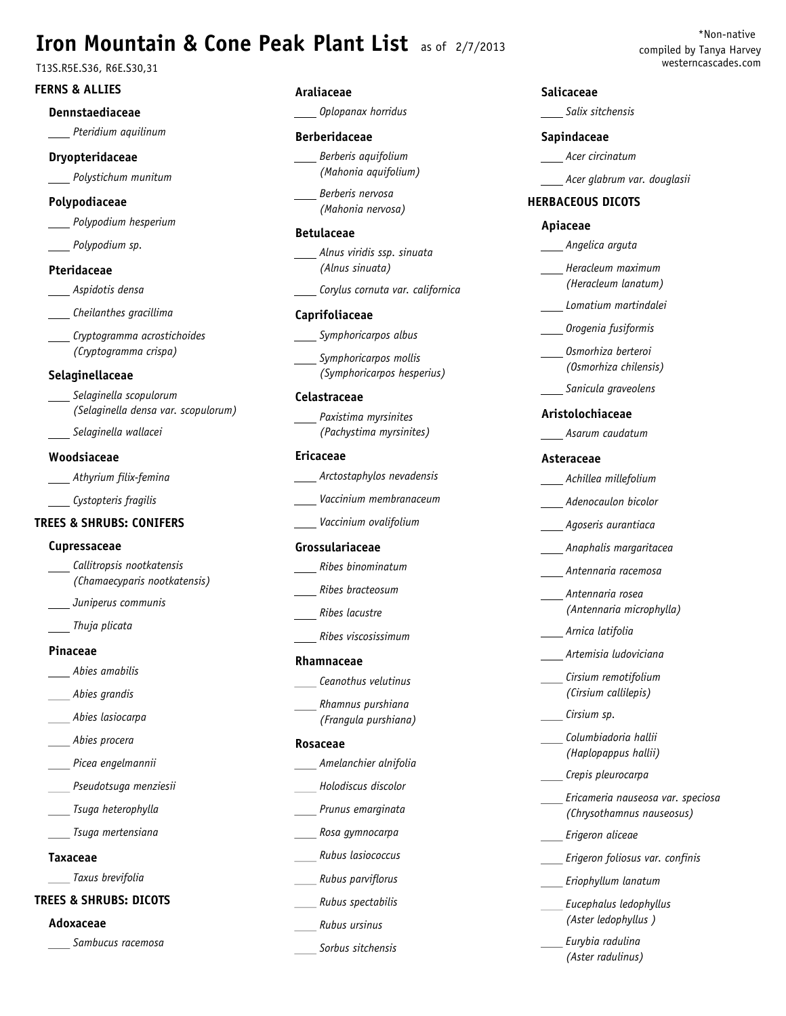# **Iron Mountain & Cone Peak Plant List** as of 2/7/2013 compiled by Tanya Harvey

# **FERNS & ALLIES**

## **Dennstaediaceae**

*Pteridium aquilinum*

## **Dryopteridaceae**

*Polystichum munitum*

# **Polypodiaceae**

*Polypodium hesperium*

*Polypodium sp.*

## **Pteridaceae**

*Aspidotis densa*

*Cheilanthes gracillima*

*Cryptogramma acrostichoides (Cryptogramma crispa)*

# **Selaginellaceae**

- *Selaginella scopulorum (Selaginella densa var. scopulorum)*
- *Selaginella wallacei*

# **Woodsiaceae**

*Athyrium filix-femina*

*Cystopteris fragilis*

# **TREES & SHRUBS: CONIFERS**

# **Cupressaceae**

- *Callitropsis nootkatensis (Chamaecyparis nootkatensis)*
- *Juniperus communis*
- *Thuja plicata*

#### **Pinaceae**

- *Abies amabilis*
- *Abies grandis*
- *Abies lasiocarpa*
- *Abies procera*
- *Picea engelmannii*
- *Pseudotsuga menziesii*
- *Tsuga heterophylla*
- *Tsuga mertensiana*

## **Taxaceae**

*Taxus brevifolia*

# **TREES & SHRUBS: DICOTS**

## **Adoxaceae**

*Sambucus racemosa*

# **Araliaceae**

*Oplopanax horridus*

## **Berberidaceae**

*Berberis aquifolium (Mahonia aquifolium)*

*Berberis nervosa (Mahonia nervosa)*

## **Betulaceae**

*Alnus viridis ssp. sinuata (Alnus sinuata)*

*Corylus cornuta var. californica*

## **Caprifoliaceae**

- *Symphoricarpos albus*
- *Symphoricarpos mollis (Symphoricarpos hesperius)*

## **Celastraceae**

*Paxistima myrsinites (Pachystima myrsinites)*

## **Ericaceae**

*Arctostaphylos nevadensis*

- *Vaccinium membranaceum*
- *Vaccinium ovalifolium*

## **Grossulariaceae**

- *Ribes binominatum*
- *Ribes bracteosum*
- *Ribes lacustre*
- *Ribes viscosissimum*

#### **Rhamnaceae**

- *Ceanothus velutinus*
- *Rhamnus purshiana (Frangula purshiana)*

#### **Rosaceae**

- *Amelanchier alnifolia*
- *Holodiscus discolor*
- *Prunus emarginata*
- *Rosa gymnocarpa*
- *Rubus lasiococcus*
- *Rubus parviflorus*
- *Rubus spectabilis*
- *Rubus ursinus*

## *Sorbus sitchensis*

## **Salicaceae**

*Salix sitchensis*

#### **Sapindaceae**

- *Acer circinatum*
- *Acer glabrum var. douglasii*

# **HERBACEOUS DICOTS**

## **Apiaceae**

- *Angelica arguta*
- *Heracleum maximum (Heracleum lanatum)*
- *Lomatium martindalei*
- *Orogenia fusiformis*
- *Osmorhiza berteroi (Osmorhiza chilensis)*
- *Sanicula graveolens*

## **Aristolochiaceae**

*Asarum caudatum*

## **Asteraceae**

- *Achillea millefolium*
- *Adenocaulon bicolor*
- *Agoseris aurantiaca*
- *Anaphalis margaritacea*
- *Antennaria racemosa*
- *Antennaria rosea (Antennaria microphylla)*
- *Arnica latifolia*

*Cirsium sp.*

- *Artemisia ludoviciana*
- *Cirsium remotifolium (Cirsium callilepis)*

*Erigeron aliceae*

*Eriophyllum lanatum Eucephalus ledophyllus (Aster ledophyllus ) Eurybia radulina (Aster radulinus)*

*Erigeron foliosus var. confinis*

*Columbiadoria hallii (Haplopappus hallii) Crepis pleurocarpa*

*Ericameria nauseosa var. speciosa (Chrysothamnus nauseosus)*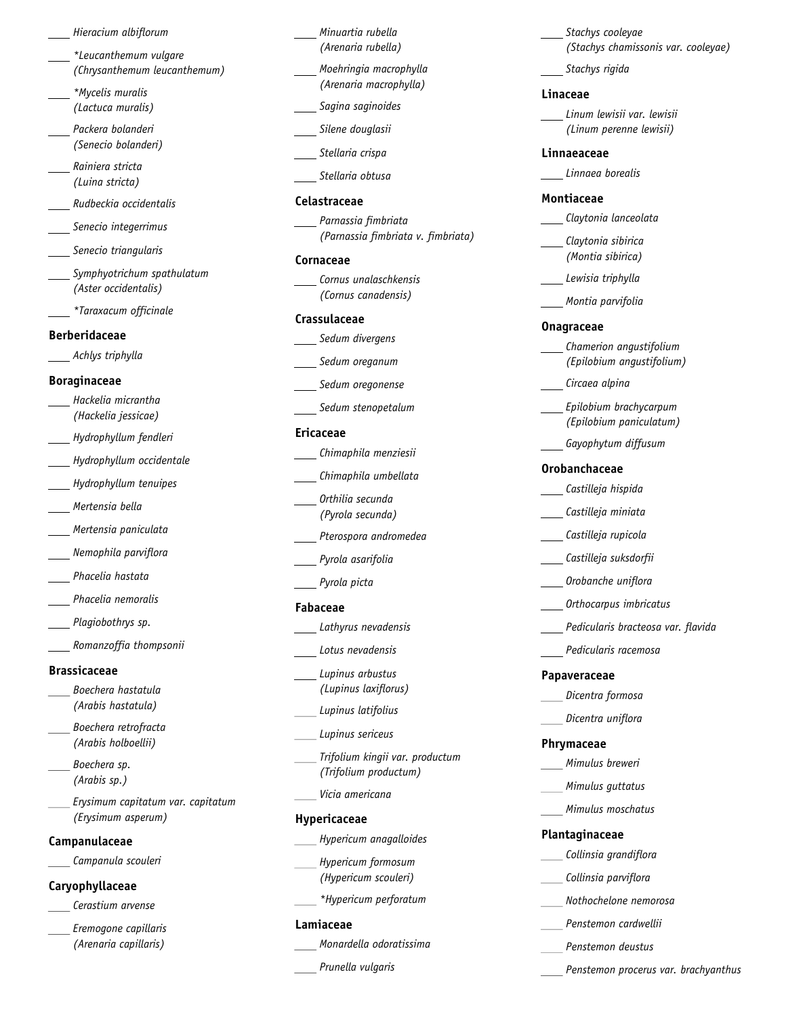#### *Hieracium albiflorum*

- *\*Leucanthemum vulgare (Chrysanthemum leucanthemum)*
- *\*Mycelis muralis (Lactuca muralis)*
- *Packera bolanderi (Senecio bolanderi)*
- *Rainiera stricta (Luina stricta)*
- *Rudbeckia occidentalis*
- *Senecio integerrimus*
- *Senecio triangularis*
- *Symphyotrichum spathulatum (Aster occidentalis)*
- *\*Taraxacum officinale*

#### **Berberidaceae**

*Achlys triphylla*

#### **Boraginaceae**

- *Hackelia micrantha (Hackelia jessicae)*
- *Hydrophyllum fendleri*
- *Hydrophyllum occidentale*
- *Hydrophyllum tenuipes*
- *Mertensia bella*
- *Mertensia paniculata*
- *Nemophila parviflora*
- *Phacelia hastata*
- *Phacelia nemoralis*
- *Plagiobothrys sp.*
- *Romanzoffia thompsonii*

# **Brassicaceae**

- *Boechera hastatula (Arabis hastatula)*
- *Boechera retrofracta (Arabis holboellii)*
- *Boechera sp. (Arabis sp.)*
- *Erysimum capitatum var. capitatum (Erysimum asperum)*

## **Campanulaceae**

*Campanula scouleri*

## **Caryophyllaceae**

- *Cerastium arvense*
- *Eremogone capillaris (Arenaria capillaris)*
- *Minuartia rubella (Arenaria rubella)*
- *Moehringia macrophylla (Arenaria macrophylla)*
- *Sagina saginoides*
- *Silene douglasii*
- *Stellaria crispa*
- *Stellaria obtusa*

## **Celastraceae**

*Parnassia fimbriata (Parnassia fimbriata v. fimbriata)*

## **Cornaceae**

*Cornus unalaschkensis (Cornus canadensis)*

#### **Crassulaceae**

- *Sedum divergens*
- *Sedum oreganum*
- *Sedum oregonense*
- *Sedum stenopetalum*

## **Ericaceae**

- *Chimaphila menziesii*
- *Chimaphila umbellata*
- *Orthilia secunda (Pyrola secunda)*
- *Pterospora andromedea*
- *Pyrola asarifolia*
- *Pyrola picta*
- **Fabaceae**
- *Lathyrus nevadensis*
- *Lotus nevadensis*
- *Lupinus arbustus (Lupinus laxiflorus)*
- *Lupinus latifolius*
- *Lupinus sericeus*
	- *Trifolium kingii var. productum (Trifolium productum)*
- *Vicia americana*

# **Hypericaceae**

- *Hypericum anagalloides*
- *Hypericum formosum (Hypericum scouleri)*
- *\*Hypericum perforatum*

## **Lamiaceae**

*Monardella odoratissima*

*Prunella vulgaris*

*Stachys cooleyae (Stachys chamissonis var. cooleyae)*

*Stachys rigida*

## **Linaceae**

*Linum lewisii var. lewisii (Linum perenne lewisii)*

#### **Linnaeaceae**

*Linnaea borealis*

## **Montiaceae**

- *Claytonia lanceolata*
- *Claytonia sibirica (Montia sibirica)*
- *Lewisia triphylla*
- *Montia parvifolia*

#### **Onagraceae**

- *Chamerion angustifolium (Epilobium angustifolium)*
- *Circaea alpina*
- *Epilobium brachycarpum (Epilobium paniculatum)*
- *Gayophytum diffusum*

#### **Orobanchaceae**

- *Castilleja hispida*
- *Castilleja miniata*
- *Castilleja rupicola*
- *Castilleja suksdorfii*
- *Orobanche uniflora*
- *Orthocarpus imbricatus*
- *Pedicularis bracteosa var. flavida*
- *Pedicularis racemosa*

#### **Papaveraceae**

- *Dicentra formosa*
- *Dicentra uniflora*

*Mimulus breweri Mimulus guttatus Mimulus moschatus*

*Collinsia grandiflora Collinsia parviflora*

*Nothochelone nemorosa Penstemon cardwellii Penstemon deustus*

*Penstemon procerus var. brachyanthus*

#### **Phrymaceae**

**Plantaginaceae**